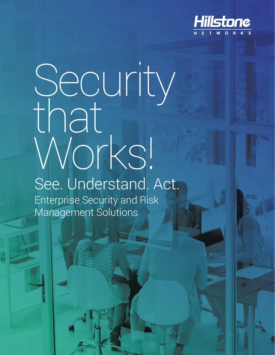

# Security that Works! See. Understand. Act. Enterprise Security and Risk Management Solutions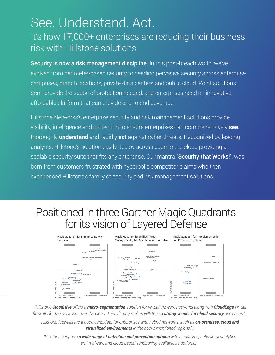# See. Understand. Act.

### It's how 17,000+ enterprises are reducing their business risk with Hillstone solutions.

Security is now a risk management discipline. In this post-breach world, we've evolved from perimeter-based security to needing pervasive security across enterprise campuses, branch locations, private data centers and public cloud. Point solutions don't provide the scope of protection needed, and enterprises need an innovative, affordable platform that can provide end-to-end coverage.

Hillstone Networks's enterprise security and risk management solutions provide visibility, intelligence and protection to ensure enterprises can comprehensively **see**, thoroughly **understand** and rapidly **act** against cyber-threats. Recognized by leading analysts, Hillstone's solution easily deploy across edge to the cloud providing a scalable security suite that fits any enterprise. Our mantra "Security that Works!", was born from customers frustrated with hyperbolic competitor claims who then experienced Hillstone's family of security and risk management solutions.

## Positioned in three Gartner Magic Quadrants for its vision of Layered Defense



*"Hillstone CloudHive offers a micro-segmentation solution for virtual VMware networks along with CloudEdge virtual firewalls for the networks over the cloud. This offering makes Hillstone a strong vendor for cloud security use cases."…*

*Hillstone firewalls are a good candidate for enterprises with hybrid networks, such as on-premises, cloud and virtualized environments in the above mentioned regions."…*

*"Hillstone supports a wide range of detection and prevention options with signatures, behavioral analytics,*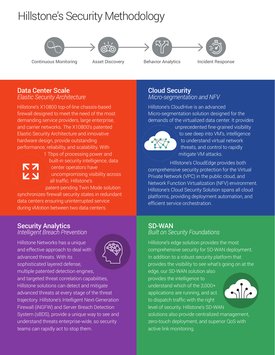## Hillstone's Security Methodology









#### Data Center Scale

*Elastic Security Architecture*

Hillstone's X10800 top-of-line chassis-based firewall designed to meet the need of the most demanding service providers, large enterprise, and carrier networks. The X10800's patented Elastic Security Architecture and innovative hardware design, provide outstanding performance, reliability, and scalability. With



1 Tbps of processing power and built-in security intelligence, data center operators have uncompromising visibility across all traffic. Hillstone's

patent-pending Twin Mode solution

synchronizes firewall security states in redundant data centers ensuring uninterrupted service during vMotion between two data centers.

#### Security Analytics

*Intelligent Breach Prevention*

Hillstone Networks has a unique and effective approach to deal with advanced threats. With its sophisticated layered defense, multiple patented detection engines,



and targeted threat correlation capabilities, Hillstone solutions can detect and mitigate advanced threats at every stage of the threat trajectory. Hillstone's Intelligent Next-Generation Firewall (iNGFW) and Server Breach Detection System (sBDS), provide a unique way to see and understand threats enterprise-wide, so security teams can rapidly act to stop them.

#### Cloud Security *Micro-segmentation and NFV*

Hillstone's CloudHive is an advanced Micro-segmentation solution designed for the demands of the virtualized data center. It provides



unprecedented fine-grained visibility to see deep into VM's, intelligence to understand virtual network threats, and control to rapidly mitigate VM attacks.

HIllstone's CloudEdge provides both comprehensive security protection for the Virtual Private Network (VPC) in the public cloud, and Network Function Virtualization (NFV) environment. Hillstone's Cloud Security Solution spans all cloud platforms, providing deployment automation, and efficient service orchestration.

## SD-WAN

#### *Built on Security Foundations*

Hillstone's edge solution provides the most comprehensive security for SD-WAN deployment. In addition to a robust security platform that provides the visibility to see what's going on at the

edge, our SD-WAN solution also provides the intelligence to understand which of the 3,000+ applications are running, and act to dispatch traffic with the right level of security. Hillstone's SD-WAN



solutions also provide centralized management, zero-touch deployment, and superior QoS with active link monitoring.